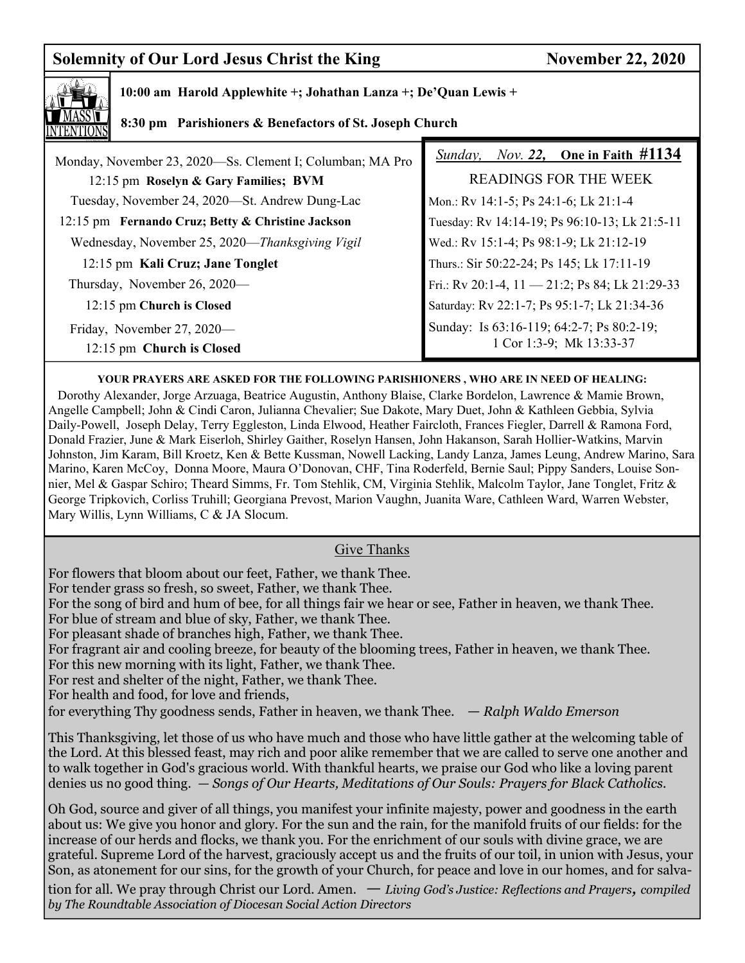# **Solemnity of Our Lord Jesus Christ the King November 22, 2020**



### **10:00 am Harold Applewhite +; Johathan Lanza +; De'Quan Lewis +**

## **8:30 pm Parishioners & Benefactors of St. Joseph Church**

| Monday, November 23, 2020—Ss. Clement I; Columban; MA Pro | <i>Sunday, Nov. 22, One in Faith <math>\#1134</math></i>              |
|-----------------------------------------------------------|-----------------------------------------------------------------------|
| 12:15 pm Roselyn & Gary Families; BVM                     | <b>READINGS FOR THE WEEK</b>                                          |
| Tuesday, November 24, 2020—St. Andrew Dung-Lac            | Mon.: Rv 14:1-5; Ps 24:1-6; Lk 21:1-4                                 |
| 12:15 pm Fernando Cruz; Betty & Christine Jackson         | Tuesday: Rv 14:14-19; Ps 96:10-13; Lk 21:5-11                         |
| Wednesday, November 25, 2020—Thanksgiving Vigil           | Wed.: Rv 15:1-4; Ps 98:1-9; Lk 21:12-19                               |
| 12:15 pm Kali Cruz; Jane Tonglet                          | Thurs.: Sir 50:22-24; Ps 145; Lk 17:11-19                             |
| Thursday, November 26, 2020—                              | Fri.: Rv 20:1-4, 11 - 21:2; Ps 84; Lk 21:29-33                        |
| 12:15 pm Church is Closed                                 | Saturday: Rv 22:1-7; Ps 95:1-7; Lk 21:34-36                           |
| Friday, November 27, 2020—<br>12:15 pm Church is Closed   | Sunday: Is 63:16-119; 64:2-7; Ps 80:2-19;<br>1 Cor 1:3-9; Mk 13:33-37 |

#### **YOUR PRAYERS ARE ASKED FOR THE FOLLOWING PARISHIONERS , WHO ARE IN NEED OF HEALING:**

 Dorothy Alexander, Jorge Arzuaga, Beatrice Augustin, Anthony Blaise, Clarke Bordelon, Lawrence & Mamie Brown, Angelle Campbell; John & Cindi Caron, Julianna Chevalier; Sue Dakote, Mary Duet, John & Kathleen Gebbia, Sylvia Daily-Powell, Joseph Delay, Terry Eggleston, Linda Elwood, Heather Faircloth, Frances Fiegler, Darrell & Ramona Ford, Donald Frazier, June & Mark Eiserloh, Shirley Gaither, Roselyn Hansen, John Hakanson, Sarah Hollier-Watkins, Marvin Johnston, Jim Karam, Bill Kroetz, Ken & Bette Kussman, Nowell Lacking, Landy Lanza, James Leung, Andrew Marino, Sara Marino, Karen McCoy, Donna Moore, Maura O'Donovan, CHF, Tina Roderfeld, Bernie Saul; Pippy Sanders, Louise Sonnier, Mel & Gaspar Schiro; Theard Simms, Fr. Tom Stehlik, CM, Virginia Stehlik, Malcolm Taylor, Jane Tonglet, Fritz & George Tripkovich, Corliss Truhill; Georgiana Prevost, Marion Vaughn, Juanita Ware, Cathleen Ward, Warren Webster, Mary Willis, Lynn Williams, C & JA Slocum.

### Give Thanks

For flowers that bloom about our feet, Father, we thank Thee.

For tender grass so fresh, so sweet, Father, we thank Thee.

For the song of bird and hum of bee, for all things fair we hear or see, Father in heaven, we thank Thee.

For blue of stream and blue of sky, Father, we thank Thee.

For pleasant shade of branches high, Father, we thank Thee.

For fragrant air and cooling breeze, for beauty of the blooming trees, Father in heaven, we thank Thee.

For this new morning with its light, Father, we thank Thee.

For rest and shelter of the night, Father, we thank Thee.

For health and food, for love and friends,

for everything Thy goodness sends, Father in heaven, we thank Thee. *— Ralph Waldo Emerson*

This Thanksgiving, let those of us who have much and those who have little gather at the welcoming table of the Lord. At this blessed feast, may rich and poor alike remember that we are called to serve one another and to walk together in God's gracious world. With thankful hearts, we praise our God who like a loving parent denies us no good thing. *— Songs of Our Hearts, Meditations of Our Souls: Prayers for Black Catholics.* 

Oh God, source and giver of all things, you manifest your infinite majesty, power and goodness in the earth about us: We give you honor and glory. For the sun and the rain, for the manifold fruits of our fields: for the increase of our herds and flocks, we thank you. For the enrichment of our souls with divine grace, we are grateful. Supreme Lord of the harvest, graciously accept us and the fruits of our toil, in union with Jesus, your Son, as atonement for our sins, for the growth of your Church, for peace and love in our homes, and for salva-

tion for all. We pray through Christ our Lord. Amen. *— Living God's Justice: Reflections and Prayers, compiled by The Roundtable Association of Diocesan Social Action Directors*